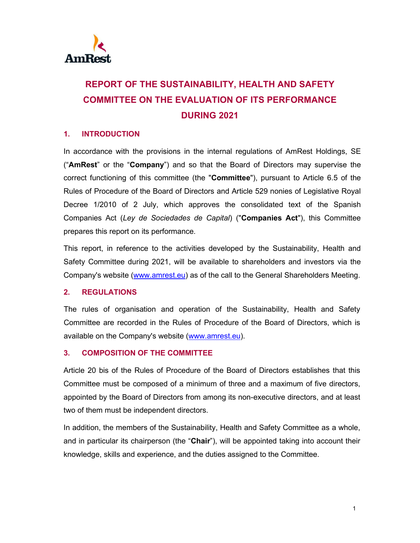

# **REPORT OF THE SUSTAINABILITY, HEALTH AND SAFETY COMMITTEE ON THE EVALUATION OF ITS PERFORMANCE DURING 2021**

## **1. INTRODUCTION**

In accordance with the provisions in the internal regulations of AmRest Holdings, SE ("**AmRest**" or the "**Company**") and so that the Board of Directors may supervise the correct functioning of this committee (the "**Committee**"), pursuant to Article 6.5 of the Rules of Procedure of the Board of Directors and Article 529 nonies of Legislative Royal Decree 1/2010 of 2 July, which approves the consolidated text of the Spanish Companies Act (*Ley de Sociedades de Capital*) ("**Companies Act**"), this Committee prepares this report on its performance.

This report, in reference to the activities developed by the Sustainability, Health and Safety Committee during 2021, will be available to shareholders and investors via the Company's website (www.amrest.eu) as of the call to the General Shareholders Meeting.

#### **2. REGULATIONS**

The rules of organisation and operation of the Sustainability, Health and Safety Committee are recorded in the Rules of Procedure of the Board of Directors, which is available on the Company's website (www.amrest.eu).

#### **3. COMPOSITION OF THE COMMITTEE**

Article 20 bis of the Rules of Procedure of the Board of Directors establishes that this Committee must be composed of a minimum of three and a maximum of five directors, appointed by the Board of Directors from among its non-executive directors, and at least two of them must be independent directors.

In addition, the members of the Sustainability, Health and Safety Committee as a whole, and in particular its chairperson (the "**Chair**"), will be appointed taking into account their knowledge, skills and experience, and the duties assigned to the Committee.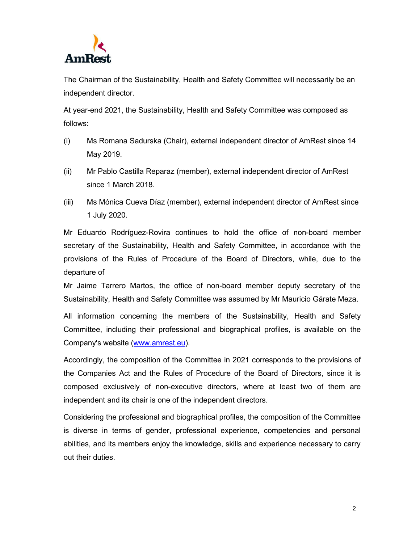

The Chairman of the Sustainability, Health and Safety Committee will necessarily be an independent director.

At year-end 2021, the Sustainability, Health and Safety Committee was composed as follows:

- (i) Ms Romana Sadurska (Chair), external independent director of AmRest since 14 May 2019.
- (ii) Mr Pablo Castilla Reparaz (member), external independent director of AmRest since 1 March 2018.
- (iii) Ms Mónica Cueva Díaz (member), external independent director of AmRest since 1 July 2020.

Mr Eduardo Rodríguez-Rovira continues to hold the office of non-board member secretary of the Sustainability, Health and Safety Committee, in accordance with the provisions of the Rules of Procedure of the Board of Directors, while, due to the departure of

Mr Jaime Tarrero Martos, the office of non-board member deputy secretary of the Sustainability, Health and Safety Committee was assumed by Mr Mauricio Gárate Meza.

All information concerning the members of the Sustainability, Health and Safety Committee, including their professional and biographical profiles, is available on the Company's website (www.amrest.eu).

Accordingly, the composition of the Committee in 2021 corresponds to the provisions of the Companies Act and the Rules of Procedure of the Board of Directors, since it is composed exclusively of non-executive directors, where at least two of them are independent and its chair is one of the independent directors.

Considering the professional and biographical profiles, the composition of the Committee is diverse in terms of gender, professional experience, competencies and personal abilities, and its members enjoy the knowledge, skills and experience necessary to carry out their duties.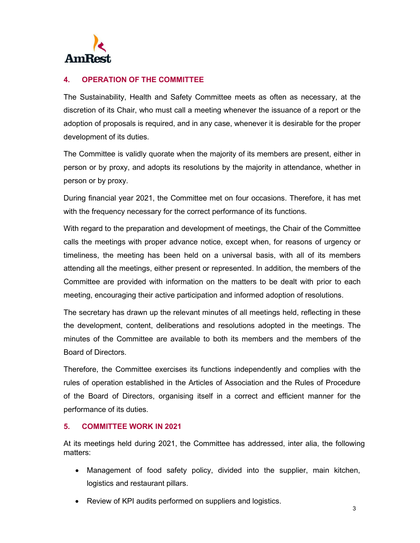

## **4. OPERATION OF THE COMMITTEE**

The Sustainability, Health and Safety Committee meets as often as necessary, at the discretion of its Chair, who must call a meeting whenever the issuance of a report or the adoption of proposals is required, and in any case, whenever it is desirable for the proper development of its duties.

The Committee is validly quorate when the majority of its members are present, either in person or by proxy, and adopts its resolutions by the majority in attendance, whether in person or by proxy.

During financial year 2021, the Committee met on four occasions. Therefore, it has met with the frequency necessary for the correct performance of its functions.

With regard to the preparation and development of meetings, the Chair of the Committee calls the meetings with proper advance notice, except when, for reasons of urgency or timeliness, the meeting has been held on a universal basis, with all of its members attending all the meetings, either present or represented. In addition, the members of the Committee are provided with information on the matters to be dealt with prior to each meeting, encouraging their active participation and informed adoption of resolutions.

The secretary has drawn up the relevant minutes of all meetings held, reflecting in these the development, content, deliberations and resolutions adopted in the meetings. The minutes of the Committee are available to both its members and the members of the Board of Directors.

Therefore, the Committee exercises its functions independently and complies with the rules of operation established in the Articles of Association and the Rules of Procedure of the Board of Directors, organising itself in a correct and efficient manner for the performance of its duties.

#### **5. COMMITTEE WORK IN 2021**

At its meetings held during 2021, the Committee has addressed, inter alia, the following matters:

- Management of food safety policy, divided into the supplier, main kitchen, logistics and restaurant pillars.
- Review of KPI audits performed on suppliers and logistics.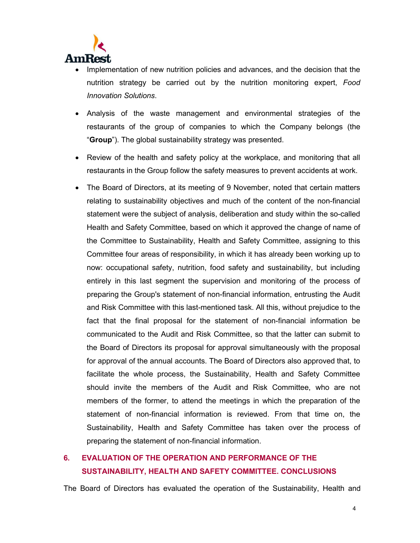

- Implementation of new nutrition policies and advances, and the decision that the nutrition strategy be carried out by the nutrition monitoring expert, *Food Innovation Solutions*.
- Analysis of the waste management and environmental strategies of the restaurants of the group of companies to which the Company belongs (the "**Group**"). The global sustainability strategy was presented.
- Review of the health and safety policy at the workplace, and monitoring that all restaurants in the Group follow the safety measures to prevent accidents at work.
- The Board of Directors, at its meeting of 9 November, noted that certain matters relating to sustainability objectives and much of the content of the non-financial statement were the subject of analysis, deliberation and study within the so-called Health and Safety Committee, based on which it approved the change of name of the Committee to Sustainability, Health and Safety Committee, assigning to this Committee four areas of responsibility, in which it has already been working up to now: occupational safety, nutrition, food safety and sustainability, but including entirely in this last segment the supervision and monitoring of the process of preparing the Group's statement of non-financial information, entrusting the Audit and Risk Committee with this last-mentioned task. All this, without prejudice to the fact that the final proposal for the statement of non-financial information be communicated to the Audit and Risk Committee, so that the latter can submit to the Board of Directors its proposal for approval simultaneously with the proposal for approval of the annual accounts. The Board of Directors also approved that, to facilitate the whole process, the Sustainability, Health and Safety Committee should invite the members of the Audit and Risk Committee, who are not members of the former, to attend the meetings in which the preparation of the statement of non-financial information is reviewed. From that time on, the Sustainability, Health and Safety Committee has taken over the process of preparing the statement of non-financial information.

# **6. EVALUATION OF THE OPERATION AND PERFORMANCE OF THE SUSTAINABILITY, HEALTH AND SAFETY COMMITTEE. CONCLUSIONS**

The Board of Directors has evaluated the operation of the Sustainability, Health and